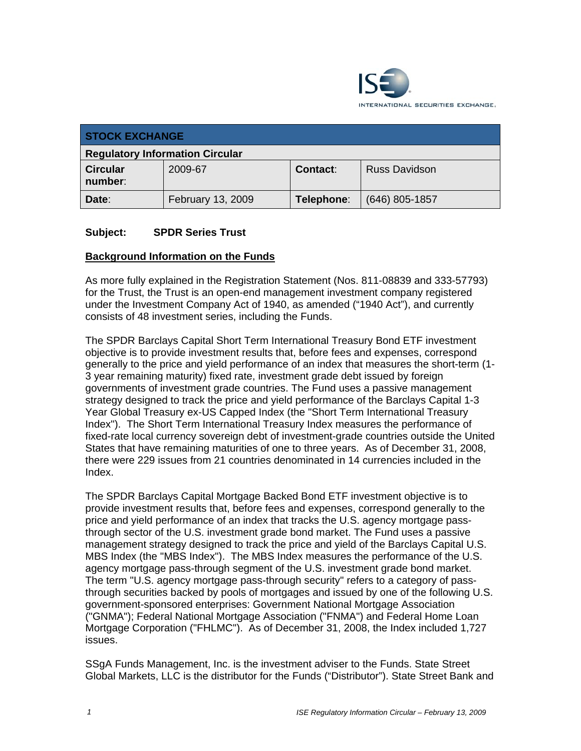

| <b>STOCK EXCHANGE</b>                  |                   |            |                      |
|----------------------------------------|-------------------|------------|----------------------|
| <b>Regulatory Information Circular</b> |                   |            |                      |
| <b>Circular</b><br>number:             | 2009-67           | Contact:   | <b>Russ Davidson</b> |
| Date:                                  | February 13, 2009 | Telephone: | $(646)$ 805-1857     |

#### **Subject: SPDR Series Trust**

#### **Background Information on the Funds**

As more fully explained in the Registration Statement (Nos. 811-08839 and 333-57793) for the Trust, the Trust is an open-end management investment company registered under the Investment Company Act of 1940, as amended ("1940 Act"), and currently consists of 48 investment series, including the Funds.

The SPDR Barclays Capital Short Term International Treasury Bond ETF investment objective is to provide investment results that, before fees and expenses, correspond generally to the price and yield performance of an index that measures the short-term (1- 3 year remaining maturity) fixed rate, investment grade debt issued by foreign governments of investment grade countries. The Fund uses a passive management strategy designed to track the price and yield performance of the Barclays Capital 1-3 Year Global Treasury ex-US Capped Index (the "Short Term International Treasury Index"). The Short Term International Treasury Index measures the performance of fixed-rate local currency sovereign debt of investment-grade countries outside the United States that have remaining maturities of one to three years. As of December 31, 2008, there were 229 issues from 21 countries denominated in 14 currencies included in the Index.

The SPDR Barclays Capital Mortgage Backed Bond ETF investment objective is to provide investment results that, before fees and expenses, correspond generally to the price and yield performance of an index that tracks the U.S. agency mortgage passthrough sector of the U.S. investment grade bond market. The Fund uses a passive management strategy designed to track the price and yield of the Barclays Capital U.S. MBS Index (the "MBS Index"). The MBS Index measures the performance of the U.S. agency mortgage pass-through segment of the U.S. investment grade bond market. The term "U.S. agency mortgage pass-through security" refers to a category of passthrough securities backed by pools of mortgages and issued by one of the following U.S. government-sponsored enterprises: Government National Mortgage Association ("GNMA"); Federal National Mortgage Association ("FNMA") and Federal Home Loan Mortgage Corporation ("FHLMC"). As of December 31, 2008, the Index included 1,727 issues.

SSgA Funds Management, Inc. is the investment adviser to the Funds. State Street Global Markets, LLC is the distributor for the Funds ("Distributor"). State Street Bank and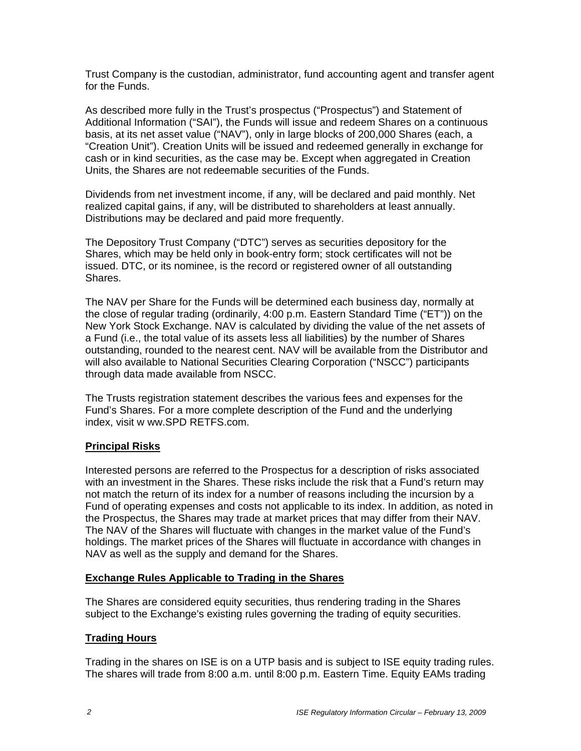Trust Company is the custodian, administrator, fund accounting agent and transfer agent for the Funds.

As described more fully in the Trust's prospectus ("Prospectus") and Statement of Additional Information ("SAI"), the Funds will issue and redeem Shares on a continuous basis, at its net asset value ("NAV"), only in large blocks of 200,000 Shares (each, a "Creation Unit"). Creation Units will be issued and redeemed generally in exchange for cash or in kind securities, as the case may be. Except when aggregated in Creation Units, the Shares are not redeemable securities of the Funds.

Dividends from net investment income, if any, will be declared and paid monthly. Net realized capital gains, if any, will be distributed to shareholders at least annually. Distributions may be declared and paid more frequently.

The Depository Trust Company ("DTC") serves as securities depository for the Shares, which may be held only in book-entry form; stock certificates will not be issued. DTC, or its nominee, is the record or registered owner of all outstanding Shares.

The NAV per Share for the Funds will be determined each business day, normally at the close of regular trading (ordinarily, 4:00 p.m. Eastern Standard Time ("ET")) on the New York Stock Exchange. NAV is calculated by dividing the value of the net assets of a Fund (i.e., the total value of its assets less all liabilities) by the number of Shares outstanding, rounded to the nearest cent. NAV will be available from the Distributor and will also available to National Securities Clearing Corporation ("NSCC") participants through data made available from NSCC.

The Trusts registration statement describes the various fees and expenses for the Fund's Shares. For a more complete description of the Fund and the underlying index, visit w ww.SPD RETFS.com.

#### **Principal Risks**

Interested persons are referred to the Prospectus for a description of risks associated with an investment in the Shares. These risks include the risk that a Fund's return may not match the return of its index for a number of reasons including the incursion by a Fund of operating expenses and costs not applicable to its index. In addition, as noted in the Prospectus, the Shares may trade at market prices that may differ from their NAV. The NAV of the Shares will fluctuate with changes in the market value of the Fund's holdings. The market prices of the Shares will fluctuate in accordance with changes in NAV as well as the supply and demand for the Shares.

#### **Exchange Rules Applicable to Trading in the Shares**

The Shares are considered equity securities, thus rendering trading in the Shares subject to the Exchange's existing rules governing the trading of equity securities.

#### **Trading Hours**

Trading in the shares on ISE is on a UTP basis and is subject to ISE equity trading rules. The shares will trade from 8:00 a.m. until 8:00 p.m. Eastern Time. Equity EAMs trading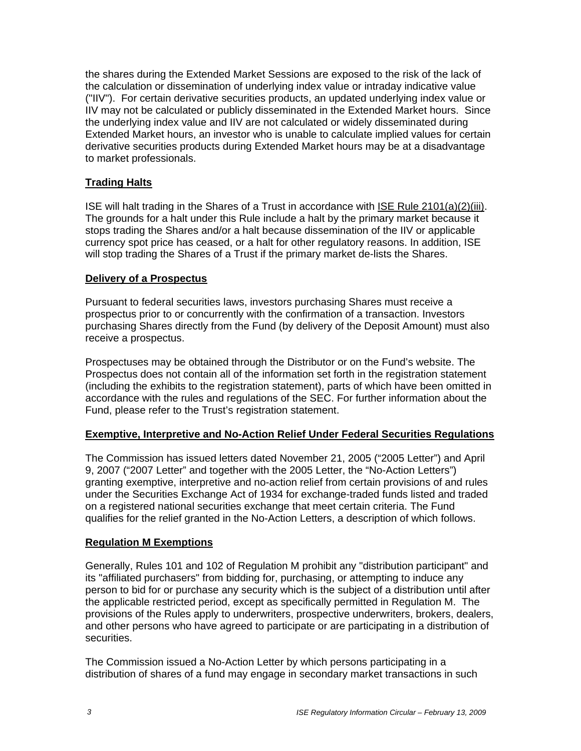the shares during the Extended Market Sessions are exposed to the risk of the lack of the calculation or dissemination of underlying index value or intraday indicative value ("IIV"). For certain derivative securities products, an updated underlying index value or IIV may not be calculated or publicly disseminated in the Extended Market hours. Since the underlying index value and IIV are not calculated or widely disseminated during Extended Market hours, an investor who is unable to calculate implied values for certain derivative securities products during Extended Market hours may be at a disadvantage to market professionals.

## **Trading Halts**

ISE will halt trading in the Shares of a Trust in accordance with ISE Rule 2101(a)(2)(iii). The grounds for a halt under this Rule include a halt by the primary market because it stops trading the Shares and/or a halt because dissemination of the IIV or applicable currency spot price has ceased, or a halt for other regulatory reasons. In addition, ISE will stop trading the Shares of a Trust if the primary market de-lists the Shares.

#### **Delivery of a Prospectus**

Pursuant to federal securities laws, investors purchasing Shares must receive a prospectus prior to or concurrently with the confirmation of a transaction. Investors purchasing Shares directly from the Fund (by delivery of the Deposit Amount) must also receive a prospectus.

Prospectuses may be obtained through the Distributor or on the Fund's website. The Prospectus does not contain all of the information set forth in the registration statement (including the exhibits to the registration statement), parts of which have been omitted in accordance with the rules and regulations of the SEC. For further information about the Fund, please refer to the Trust's registration statement.

#### **Exemptive, Interpretive and No-Action Relief Under Federal Securities Regulations**

The Commission has issued letters dated November 21, 2005 ("2005 Letter") and April 9, 2007 ("2007 Letter" and together with the 2005 Letter, the "No-Action Letters") granting exemptive, interpretive and no-action relief from certain provisions of and rules under the Securities Exchange Act of 1934 for exchange-traded funds listed and traded on a registered national securities exchange that meet certain criteria. The Fund qualifies for the relief granted in the No-Action Letters, a description of which follows.

#### **Regulation M Exemptions**

Generally, Rules 101 and 102 of Regulation M prohibit any "distribution participant" and its "affiliated purchasers" from bidding for, purchasing, or attempting to induce any person to bid for or purchase any security which is the subject of a distribution until after the applicable restricted period, except as specifically permitted in Regulation M. The provisions of the Rules apply to underwriters, prospective underwriters, brokers, dealers, and other persons who have agreed to participate or are participating in a distribution of securities.

The Commission issued a No-Action Letter by which persons participating in a distribution of shares of a fund may engage in secondary market transactions in such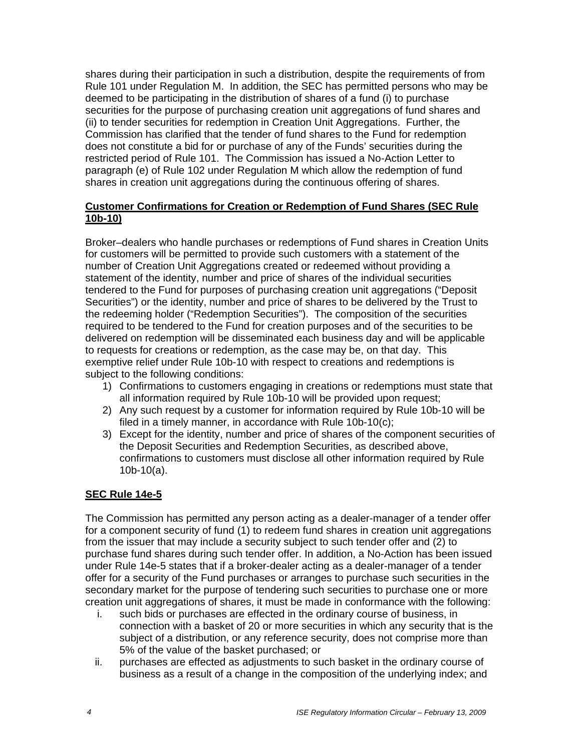shares during their participation in such a distribution, despite the requirements of from Rule 101 under Regulation M. In addition, the SEC has permitted persons who may be deemed to be participating in the distribution of shares of a fund (i) to purchase securities for the purpose of purchasing creation unit aggregations of fund shares and (ii) to tender securities for redemption in Creation Unit Aggregations. Further, the Commission has clarified that the tender of fund shares to the Fund for redemption does not constitute a bid for or purchase of any of the Funds' securities during the restricted period of Rule 101. The Commission has issued a No-Action Letter to paragraph (e) of Rule 102 under Regulation M which allow the redemption of fund shares in creation unit aggregations during the continuous offering of shares.

#### **Customer Confirmations for Creation or Redemption of Fund Shares (SEC Rule 10b-10)**

Broker–dealers who handle purchases or redemptions of Fund shares in Creation Units for customers will be permitted to provide such customers with a statement of the number of Creation Unit Aggregations created or redeemed without providing a statement of the identity, number and price of shares of the individual securities tendered to the Fund for purposes of purchasing creation unit aggregations ("Deposit Securities") or the identity, number and price of shares to be delivered by the Trust to the redeeming holder ("Redemption Securities"). The composition of the securities required to be tendered to the Fund for creation purposes and of the securities to be delivered on redemption will be disseminated each business day and will be applicable to requests for creations or redemption, as the case may be, on that day. This exemptive relief under Rule 10b-10 with respect to creations and redemptions is subject to the following conditions:

- 1) Confirmations to customers engaging in creations or redemptions must state that all information required by Rule 10b-10 will be provided upon request;
- 2) Any such request by a customer for information required by Rule 10b-10 will be filed in a timely manner, in accordance with Rule 10b-10(c);
- 3) Except for the identity, number and price of shares of the component securities of the Deposit Securities and Redemption Securities, as described above, confirmations to customers must disclose all other information required by Rule 10b-10(a).

#### **SEC Rule 14e-5**

The Commission has permitted any person acting as a dealer-manager of a tender offer for a component security of fund (1) to redeem fund shares in creation unit aggregations from the issuer that may include a security subject to such tender offer and (2) to purchase fund shares during such tender offer. In addition, a No-Action has been issued under Rule 14e-5 states that if a broker-dealer acting as a dealer-manager of a tender offer for a security of the Fund purchases or arranges to purchase such securities in the secondary market for the purpose of tendering such securities to purchase one or more creation unit aggregations of shares, it must be made in conformance with the following:

- i. such bids or purchases are effected in the ordinary course of business, in connection with a basket of 20 or more securities in which any security that is the subject of a distribution, or any reference security, does not comprise more than 5% of the value of the basket purchased; or
- ii. purchases are effected as adjustments to such basket in the ordinary course of business as a result of a change in the composition of the underlying index; and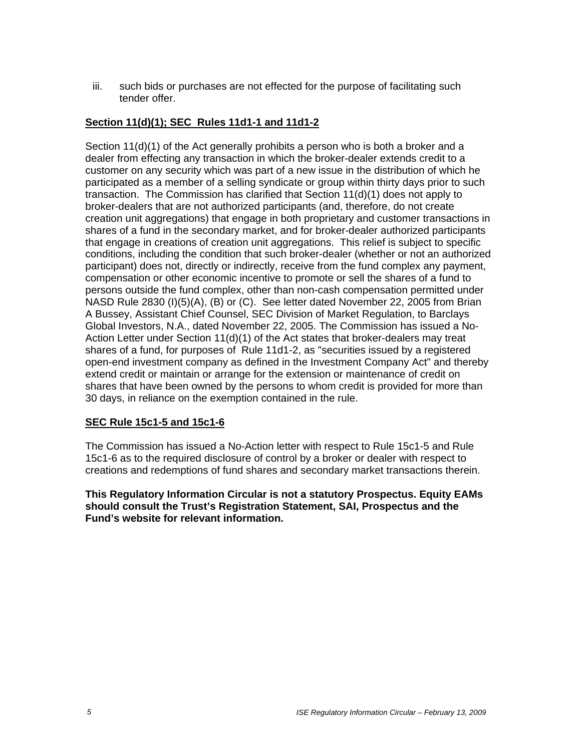iii. such bids or purchases are not effected for the purpose of facilitating such tender offer.

### **Section 11(d)(1); SEC Rules 11d1-1 and 11d1-2**

Section 11(d)(1) of the Act generally prohibits a person who is both a broker and a dealer from effecting any transaction in which the broker-dealer extends credit to a customer on any security which was part of a new issue in the distribution of which he participated as a member of a selling syndicate or group within thirty days prior to such transaction. The Commission has clarified that Section 11(d)(1) does not apply to broker-dealers that are not authorized participants (and, therefore, do not create creation unit aggregations) that engage in both proprietary and customer transactions in shares of a fund in the secondary market, and for broker-dealer authorized participants that engage in creations of creation unit aggregations. This relief is subject to specific conditions, including the condition that such broker-dealer (whether or not an authorized participant) does not, directly or indirectly, receive from the fund complex any payment, compensation or other economic incentive to promote or sell the shares of a fund to persons outside the fund complex, other than non-cash compensation permitted under NASD Rule 2830 (I)(5)(A), (B) or (C). See letter dated November 22, 2005 from Brian A Bussey, Assistant Chief Counsel, SEC Division of Market Regulation, to Barclays Global Investors, N.A., dated November 22, 2005. The Commission has issued a No-Action Letter under Section  $11(d)(1)$  of the Act states that broker-dealers may treat shares of a fund, for purposes of Rule 11d1-2, as "securities issued by a registered open-end investment company as defined in the Investment Company Act" and thereby extend credit or maintain or arrange for the extension or maintenance of credit on shares that have been owned by the persons to whom credit is provided for more than 30 days, in reliance on the exemption contained in the rule.

#### **SEC Rule 15c1-5 and 15c1-6**

The Commission has issued a No-Action letter with respect to Rule 15c1-5 and Rule 15c1-6 as to the required disclosure of control by a broker or dealer with respect to creations and redemptions of fund shares and secondary market transactions therein.

**This Regulatory Information Circular is not a statutory Prospectus. Equity EAMs should consult the Trust's Registration Statement, SAI, Prospectus and the Fund's website for relevant information.**